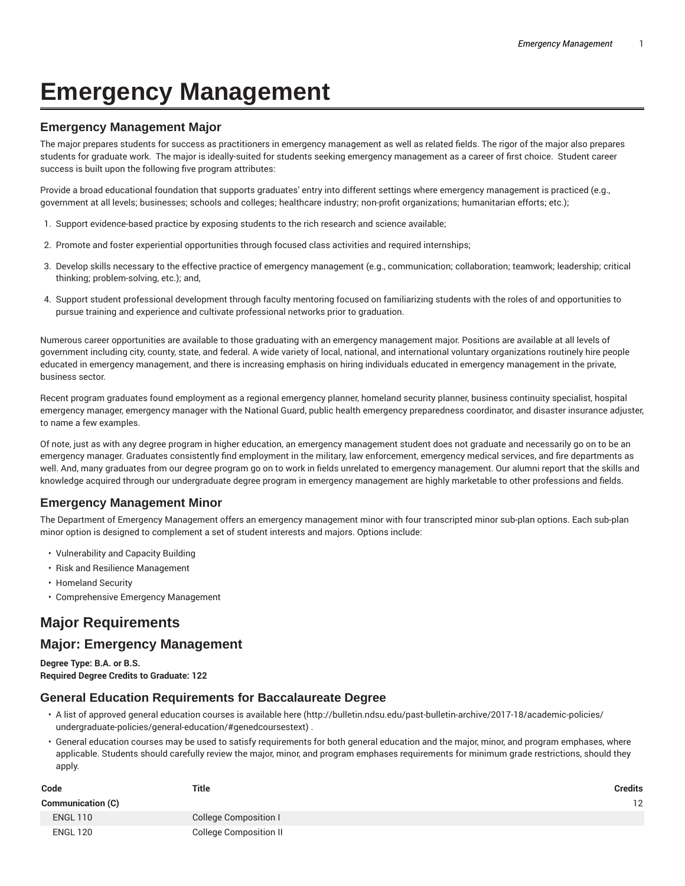# **Emergency Management**

## **Emergency Management Major**

The major prepares students for success as practitioners in emergency management as well as related fields. The rigor of the major also prepares students for graduate work. The major is ideally-suited for students seeking emergency management as a career of first choice. Student career success is built upon the following five program attributes:

Provide a broad educational foundation that supports graduates' entry into different settings where emergency management is practiced (e.g., government at all levels; businesses; schools and colleges; healthcare industry; non-profit organizations; humanitarian efforts; etc.);

- 1. Support evidence-based practice by exposing students to the rich research and science available;
- 2. Promote and foster experiential opportunities through focused class activities and required internships;
- 3. Develop skills necessary to the effective practice of emergency management (e.g., communication; collaboration; teamwork; leadership; critical thinking; problem-solving, etc.); and,
- 4. Support student professional development through faculty mentoring focused on familiarizing students with the roles of and opportunities to pursue training and experience and cultivate professional networks prior to graduation.

Numerous career opportunities are available to those graduating with an emergency management major. Positions are available at all levels of government including city, county, state, and federal. A wide variety of local, national, and international voluntary organizations routinely hire people educated in emergency management, and there is increasing emphasis on hiring individuals educated in emergency management in the private, business sector.

Recent program graduates found employment as a regional emergency planner, homeland security planner, business continuity specialist, hospital emergency manager, emergency manager with the National Guard, public health emergency preparedness coordinator, and disaster insurance adjuster, to name a few examples.

Of note, just as with any degree program in higher education, an emergency management student does not graduate and necessarily go on to be an emergency manager. Graduates consistently find employment in the military, law enforcement, emergency medical services, and fire departments as well. And, many graduates from our degree program go on to work in fields unrelated to emergency management. Our alumni report that the skills and knowledge acquired through our undergraduate degree program in emergency management are highly marketable to other professions and fields.

## **Emergency Management Minor**

The Department of Emergency Management offers an emergency management minor with four transcripted minor sub-plan options. Each sub-plan minor option is designed to complement a set of student interests and majors. Options include:

- Vulnerability and Capacity Building
- Risk and Resilience Management
- Homeland Security
- Comprehensive Emergency Management

# **Major Requirements**

## **Major: Emergency Management**

**Degree Type: B.A. or B.S. Required Degree Credits to Graduate: 122**

#### **General Education Requirements for Baccalaureate Degree**

- A list of approved general education courses is available here (http://bulletin.ndsu.edu/past-bulletin-archive/2017-18/academic-policies/ undergraduate-policies/general-education/#genedcoursestext) .
- General education courses may be used to satisfy requirements for both general education and the major, minor, and program emphases, where applicable. Students should carefully review the major, minor, and program emphases requirements for minimum grade restrictions, should they apply.

| Code                     | <b>Title</b>                  | <b>Credits</b> |
|--------------------------|-------------------------------|----------------|
| <b>Communication (C)</b> |                               | 12             |
| <b>ENGL 110</b>          | College Composition I         |                |
| <b>ENGL 120</b>          | <b>College Composition II</b> |                |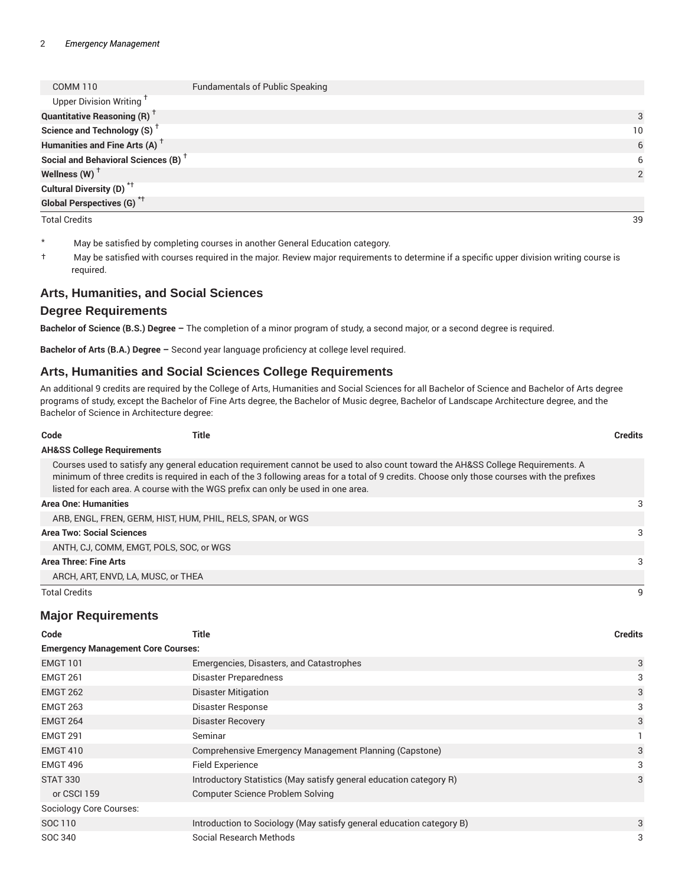| COMM <sub>110</sub>                             | <b>Fundamentals of Public Speaking</b> |                 |
|-------------------------------------------------|----------------------------------------|-----------------|
| Upper Division Writing <sup>†</sup>             |                                        |                 |
| <b>Quantitative Reasoning (R)</b> <sup>†</sup>  |                                        | 3               |
| Science and Technology (S) <sup>+</sup>         |                                        | 10 <sup>°</sup> |
| Humanities and Fine Arts (A) <sup>+</sup>       |                                        | 6               |
| Social and Behavioral Sciences (B) <sup>+</sup> |                                        | 6               |
| Wellness (W) $^\dagger$                         |                                        | $\mathcal{P}$   |
| Cultural Diversity (D) <sup>*†</sup>            |                                        |                 |
| <b>Global Perspectives (G)<sup>*†</sup></b>     |                                        |                 |
| <b>Total Credits</b>                            |                                        | 39              |

| May be satisfied by completing courses in another General Education category. |  |
|-------------------------------------------------------------------------------|--|
|-------------------------------------------------------------------------------|--|

† May be satisfied with courses required in the major. Review major requirements to determine if a specific upper division writing course is required.

#### **Arts, Humanities, and Social Sciences**

#### **Degree Requirements**

**Bachelor of Science (B.S.) Degree –** The completion of a minor program of study, a second major, or a second degree is required.

**Bachelor of Arts (B.A.) Degree –** Second year language proficiency at college level required.

#### **Arts, Humanities and Social Sciences College Requirements**

An additional 9 credits are required by the College of Arts, Humanities and Social Sciences for all Bachelor of Science and Bachelor of Arts degree programs of study, except the Bachelor of Fine Arts degree, the Bachelor of Music degree, Bachelor of Landscape Architecture degree, and the Bachelor of Science in Architecture degree:

| Code                         | Title                                                                                                                                                                                                                                                                                                                                                              | Credits |
|------------------------------|--------------------------------------------------------------------------------------------------------------------------------------------------------------------------------------------------------------------------------------------------------------------------------------------------------------------------------------------------------------------|---------|
|                              | <b>AH&amp;SS College Requirements</b>                                                                                                                                                                                                                                                                                                                              |         |
|                              | Courses used to satisfy any general education requirement cannot be used to also count toward the AH&SS College Requirements. A<br>minimum of three credits is required in each of the 3 following areas for a total of 9 credits. Choose only those courses with the prefixes<br>listed for each area. A course with the WGS prefix can only be used in one area. |         |
| <b>Area One: Humanities</b>  |                                                                                                                                                                                                                                                                                                                                                                    | 3       |
|                              | ARB, ENGL, FREN, GERM, HIST, HUM, PHIL, RELS, SPAN, or WGS                                                                                                                                                                                                                                                                                                         |         |
|                              | <b>Area Two: Social Sciences</b>                                                                                                                                                                                                                                                                                                                                   | 3       |
|                              | ANTH, CJ, COMM, EMGT, POLS, SOC, or WGS                                                                                                                                                                                                                                                                                                                            |         |
| <b>Area Three: Fine Arts</b> |                                                                                                                                                                                                                                                                                                                                                                    | 3       |
|                              | ARCH, ART, ENVD, LA, MUSC, or THEA                                                                                                                                                                                                                                                                                                                                 |         |
| <b>Total Credits</b>         |                                                                                                                                                                                                                                                                                                                                                                    | 9       |

#### **Major Requirements**

| Code                                      | Title                                                                | <b>Credits</b> |
|-------------------------------------------|----------------------------------------------------------------------|----------------|
| <b>Emergency Management Core Courses:</b> |                                                                      |                |
| <b>EMGT 101</b>                           | Emergencies, Disasters, and Catastrophes                             | 3              |
| <b>EMGT 261</b>                           | Disaster Preparedness                                                | 3              |
| <b>EMGT 262</b>                           | <b>Disaster Mitigation</b>                                           | 3              |
| <b>EMGT 263</b>                           | Disaster Response                                                    | 3              |
| <b>EMGT 264</b>                           | <b>Disaster Recovery</b>                                             | 3              |
| <b>EMGT 291</b>                           | Seminar                                                              |                |
| <b>EMGT 410</b>                           | Comprehensive Emergency Management Planning (Capstone)               | 3              |
| EMGT 496                                  | Field Experience                                                     | 3              |
| <b>STAT 330</b>                           | Introductory Statistics (May satisfy general education category R)   | 3              |
| or CSCI 159                               | Computer Science Problem Solving                                     |                |
| <b>Sociology Core Courses:</b>            |                                                                      |                |
| SOC 110                                   | Introduction to Sociology (May satisfy general education category B) | 3              |
| SOC 340                                   | Social Research Methods                                              | 3              |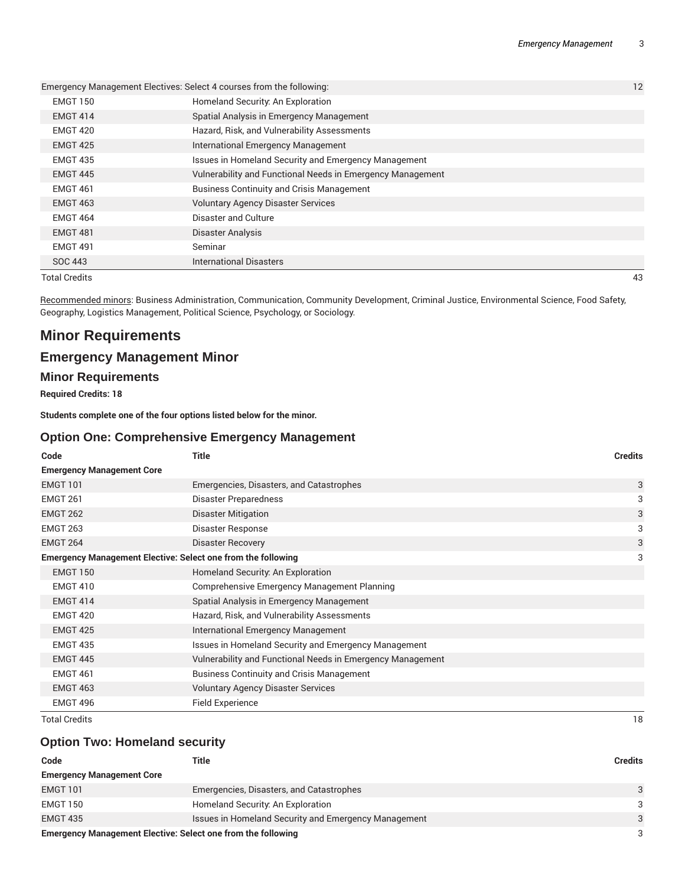|                      | Emergency Management Electives: Select 4 courses from the following: | 12 |
|----------------------|----------------------------------------------------------------------|----|
| <b>EMGT 150</b>      | Homeland Security: An Exploration                                    |    |
| <b>EMGT 414</b>      | Spatial Analysis in Emergency Management                             |    |
| <b>EMGT 420</b>      | Hazard, Risk, and Vulnerability Assessments                          |    |
| <b>EMGT 425</b>      | International Emergency Management                                   |    |
| <b>EMGT 435</b>      | Issues in Homeland Security and Emergency Management                 |    |
| <b>EMGT 445</b>      | Vulnerability and Functional Needs in Emergency Management           |    |
| <b>EMGT 461</b>      | <b>Business Continuity and Crisis Management</b>                     |    |
| <b>EMGT 463</b>      | <b>Voluntary Agency Disaster Services</b>                            |    |
| <b>EMGT 464</b>      | Disaster and Culture                                                 |    |
| <b>EMGT 481</b>      | Disaster Analysis                                                    |    |
| <b>EMGT 491</b>      | Seminar                                                              |    |
| SOC 443              | <b>International Disasters</b>                                       |    |
| <b>Total Credits</b> |                                                                      | 43 |

Recommended minors: Business Administration, Communication, Community Development, Criminal Justice, Environmental Science, Food Safety, Geography, Logistics Management, Political Science, Psychology, or Sociology.

# **Minor Requirements**

# **Emergency Management Minor**

## **Minor Requirements**

**Required Credits: 18**

**Students complete one of the four options listed below for the minor.**

#### **Option One: Comprehensive Emergency Management**

| Code                             | <b>Title</b>                                                        | <b>Credits</b> |
|----------------------------------|---------------------------------------------------------------------|----------------|
| <b>Emergency Management Core</b> |                                                                     |                |
| <b>EMGT 101</b>                  | Emergencies, Disasters, and Catastrophes                            | 3              |
| <b>EMGT 261</b>                  | Disaster Preparedness                                               | 3              |
| <b>EMGT 262</b>                  | <b>Disaster Mitigation</b>                                          | 3              |
| <b>EMGT 263</b>                  | Disaster Response                                                   | 3              |
| <b>EMGT 264</b>                  | Disaster Recovery                                                   | 3              |
|                                  | <b>Emergency Management Elective: Select one from the following</b> | 3              |
| <b>EMGT 150</b>                  | Homeland Security: An Exploration                                   |                |
| <b>EMGT 410</b>                  | Comprehensive Emergency Management Planning                         |                |
| <b>EMGT 414</b>                  | Spatial Analysis in Emergency Management                            |                |
| <b>EMGT 420</b>                  | Hazard, Risk, and Vulnerability Assessments                         |                |
| <b>EMGT 425</b>                  | International Emergency Management                                  |                |
| <b>EMGT 435</b>                  | Issues in Homeland Security and Emergency Management                |                |
| <b>EMGT 445</b>                  | Vulnerability and Functional Needs in Emergency Management          |                |
| <b>EMGT 461</b>                  | <b>Business Continuity and Crisis Management</b>                    |                |
| <b>EMGT 463</b>                  | <b>Voluntary Agency Disaster Services</b>                           |                |
| <b>EMGT 496</b>                  | <b>Field Experience</b>                                             |                |
| <b>Total Credits</b>             |                                                                     | 18             |

#### **Option Two: Homeland security**

| Code                                                                | Title                                                | <b>Credits</b> |
|---------------------------------------------------------------------|------------------------------------------------------|----------------|
| <b>Emergency Management Core</b>                                    |                                                      |                |
| <b>EMGT 101</b>                                                     | Emergencies, Disasters, and Catastrophes             | 3              |
| EMGT 150                                                            | Homeland Security: An Exploration                    | 3              |
| <b>EMGT 435</b>                                                     | Issues in Homeland Security and Emergency Management | 3              |
| <b>Emergency Management Elective: Select one from the following</b> |                                                      | 3              |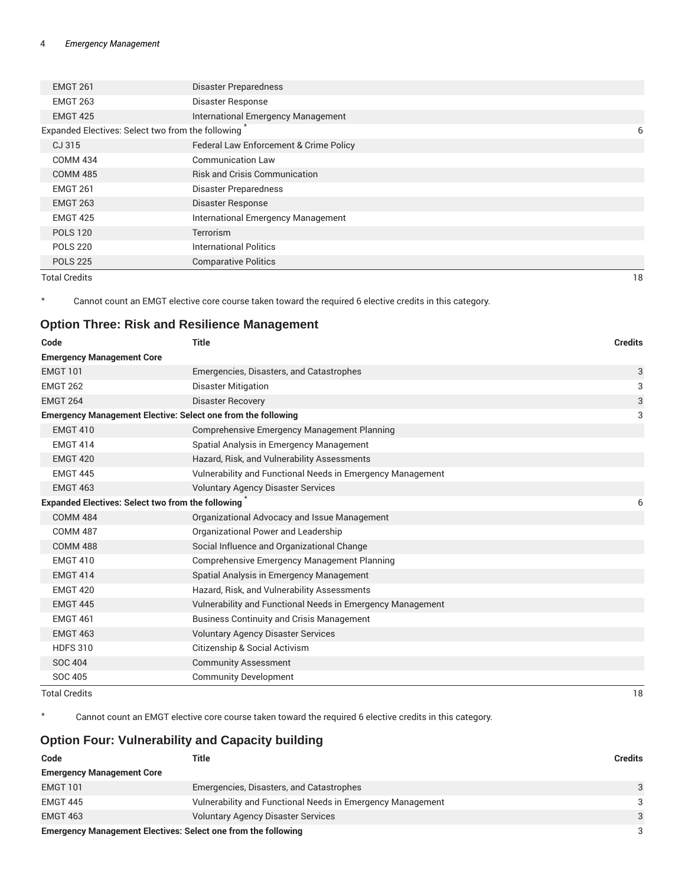| <b>EMGT 261</b>                                   | <b>Disaster Preparedness</b>              |    |
|---------------------------------------------------|-------------------------------------------|----|
| <b>EMGT 263</b>                                   | <b>Disaster Response</b>                  |    |
| <b>EMGT 425</b>                                   | International Emergency Management        |    |
| Expanded Electives: Select two from the following |                                           | 6  |
| CJ 315                                            | Federal Law Enforcement & Crime Policy    |    |
| <b>COMM 434</b>                                   | <b>Communication Law</b>                  |    |
| <b>COMM 485</b>                                   | <b>Risk and Crisis Communication</b>      |    |
| <b>EMGT 261</b>                                   | Disaster Preparedness                     |    |
| <b>EMGT 263</b>                                   | Disaster Response                         |    |
| <b>EMGT 425</b>                                   | <b>International Emergency Management</b> |    |
| <b>POLS 120</b>                                   | Terrorism                                 |    |
| <b>POLS 220</b>                                   | <b>International Politics</b>             |    |
| <b>POLS 225</b>                                   | <b>Comparative Politics</b>               |    |
| <b>Total Credits</b>                              |                                           | 18 |

\* Cannot count an EMGT elective core course taken toward the required 6 elective credits in this category.

#### **Option Three: Risk and Resilience Management**

| Code                                                                | <b>Title</b>                                               | <b>Credits</b> |
|---------------------------------------------------------------------|------------------------------------------------------------|----------------|
| <b>Emergency Management Core</b>                                    |                                                            |                |
| <b>EMGT 101</b>                                                     | Emergencies, Disasters, and Catastrophes                   | 3              |
| <b>EMGT 262</b>                                                     | Disaster Mitigation                                        | 3              |
| <b>EMGT 264</b>                                                     | <b>Disaster Recovery</b>                                   | 3              |
| <b>Emergency Management Elective: Select one from the following</b> |                                                            | 3              |
| <b>EMGT 410</b>                                                     | <b>Comprehensive Emergency Management Planning</b>         |                |
| <b>EMGT 414</b>                                                     | Spatial Analysis in Emergency Management                   |                |
| <b>EMGT 420</b>                                                     | Hazard, Risk, and Vulnerability Assessments                |                |
| <b>EMGT 445</b>                                                     | Vulnerability and Functional Needs in Emergency Management |                |
| <b>EMGT 463</b>                                                     | <b>Voluntary Agency Disaster Services</b>                  |                |
| Expanded Electives: Select two from the following                   |                                                            | 6              |
| <b>COMM 484</b>                                                     | Organizational Advocacy and Issue Management               |                |
| <b>COMM 487</b>                                                     | Organizational Power and Leadership                        |                |
| <b>COMM 488</b>                                                     | Social Influence and Organizational Change                 |                |
| <b>EMGT 410</b>                                                     | Comprehensive Emergency Management Planning                |                |
| <b>EMGT 414</b>                                                     | Spatial Analysis in Emergency Management                   |                |
| <b>EMGT 420</b>                                                     | Hazard, Risk, and Vulnerability Assessments                |                |
| <b>EMGT 445</b>                                                     | Vulnerability and Functional Needs in Emergency Management |                |
| <b>EMGT 461</b>                                                     | <b>Business Continuity and Crisis Management</b>           |                |
| <b>EMGT 463</b>                                                     | <b>Voluntary Agency Disaster Services</b>                  |                |
| <b>HDFS 310</b>                                                     | Citizenship & Social Activism                              |                |
| <b>SOC 404</b>                                                      | <b>Community Assessment</b>                                |                |
| SOC 405                                                             | <b>Community Development</b>                               |                |
| <b>Total Credits</b>                                                |                                                            | 18             |

\* Cannot count an EMGT elective core course taken toward the required 6 elective credits in this category.

# **Option Four: Vulnerability and Capacity building**

| Code                                                                 | Title                                                      | <b>Credits</b> |
|----------------------------------------------------------------------|------------------------------------------------------------|----------------|
| <b>Emergency Management Core</b>                                     |                                                            |                |
| <b>EMGT 101</b>                                                      | Emergencies, Disasters, and Catastrophes                   | 3              |
| <b>EMGT 445</b>                                                      | Vulnerability and Functional Needs in Emergency Management | 3              |
| <b>EMGT 463</b>                                                      | <b>Voluntary Agency Disaster Services</b>                  | 3              |
| <b>Emergency Management Electives: Select one from the following</b> |                                                            | 3              |